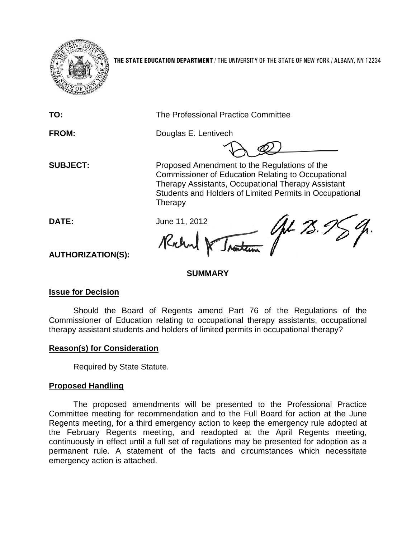

**THE STATE EDUCATION DEPARTMENT** / THE UNIVERSITY OF THE STATE OF NEW YORK / ALBANY, NY 12234

**TO:** The Professional Practice Committee

**FROM:** Douglas E. Lentivech

**SUBJECT:** Proposed Amendment to the Regulations of the Commissioner of Education Relating to Occupational Therapy Assistants, Occupational Therapy Assistant Students and Holders of Limited Permits in Occupational **Therapy** 

Nantenn (John 75.) **DATE:** June 11, 2012 Kilm

**AUTHORIZATION(S):**

## **SUMMARY**

# **Issue for Decision**

Should the Board of Regents amend Part 76 of the Regulations of the Commissioner of Education relating to occupational therapy assistants, occupational therapy assistant students and holders of limited permits in occupational therapy?

## **Reason(s) for Consideration**

Required by State Statute.

# **Proposed Handling**

The proposed amendments will be presented to the Professional Practice Committee meeting for recommendation and to the Full Board for action at the June Regents meeting, for a third emergency action to keep the emergency rule adopted at the February Regents meeting, and readopted at the April Regents meeting, continuously in effect until a full set of regulations may be presented for adoption as a permanent rule. A statement of the facts and circumstances which necessitate emergency action is attached.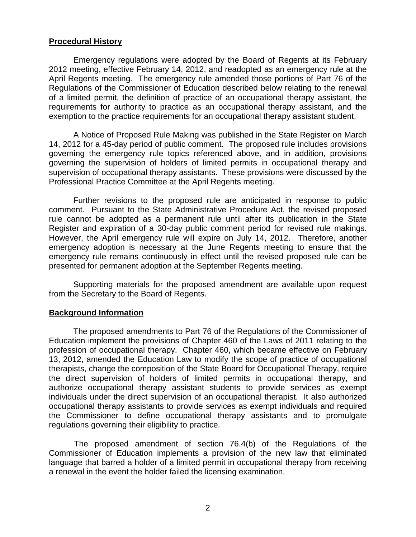## **Procedural History**

Emergency regulations were adopted by the Board of Regents at its February 2012 meeting, effective February 14, 2012, and readopted as an emergency rule at the April Regents meeting. The emergency rule amended those portions of Part 76 of the Regulations of the Commissioner of Education described below relating to the renewal of a limited permit, the definition of practice of an occupational therapy assistant, the requirements for authority to practice as an occupational therapy assistant, and the exemption to the practice requirements for an occupational therapy assistant student.

A Notice of Proposed Rule Making was published in the State Register on March 14, 2012 for a 45-day period of public comment. The proposed rule includes provisions governing the emergency rule topics referenced above, and in addition, provisions governing the supervision of holders of limited permits in occupational therapy and supervision of occupational therapy assistants. These provisions were discussed by the Professional Practice Committee at the April Regents meeting.

Further revisions to the proposed rule are anticipated in response to public comment. Pursuant to the State Administrative Procedure Act, the revised proposed rule cannot be adopted as a permanent rule until after its publication in the State Register and expiration of a 30-day public comment period for revised rule makings. However, the April emergency rule will expire on July 14, 2012. Therefore, another emergency adoption is necessary at the June Regents meeting to ensure that the emergency rule remains continuously in effect until the revised proposed rule can be presented for permanent adoption at the September Regents meeting.

Supporting materials for the proposed amendment are available upon request from the Secretary to the Board of Regents.

#### **Background Information**

The proposed amendments to Part 76 of the Regulations of the Commissioner of Education implement the provisions of Chapter 460 of the Laws of 2011 relating to the profession of occupational therapy. Chapter 460, which became effective on February 13, 2012, amended the Education Law to modify the scope of practice of occupational therapists, change the composition of the State Board for Occupational Therapy, require the direct supervision of holders of limited permits in occupational therapy, and authorize occupational therapy assistant students to provide services as exempt individuals under the direct supervision of an occupational therapist. It also authorized occupational therapy assistants to provide services as exempt individuals and required the Commissioner to define occupational therapy assistants and to promulgate regulations governing their eligibility to practice.

The proposed amendment of section 76.4(b) of the Regulations of the Commissioner of Education implements a provision of the new law that eliminated language that barred a holder of a limited permit in occupational therapy from receiving a renewal in the event the holder failed the licensing examination.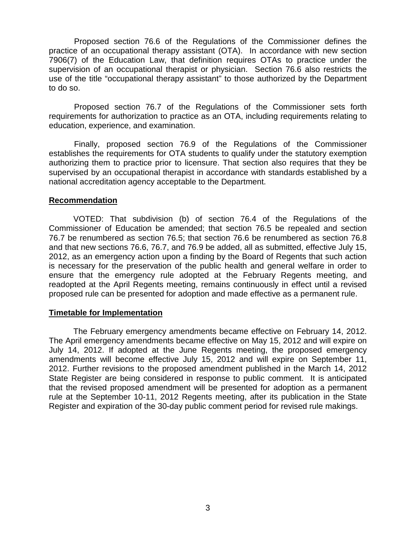Proposed section 76.6 of the Regulations of the Commissioner defines the practice of an occupational therapy assistant (OTA). In accordance with new section 7906(7) of the Education Law, that definition requires OTAs to practice under the supervision of an occupational therapist or physician. Section 76.6 also restricts the use of the title "occupational therapy assistant" to those authorized by the Department to do so.

Proposed section 76.7 of the Regulations of the Commissioner sets forth requirements for authorization to practice as an OTA, including requirements relating to education, experience, and examination.

Finally, proposed section 76.9 of the Regulations of the Commissioner establishes the requirements for OTA students to qualify under the statutory exemption authorizing them to practice prior to licensure. That section also requires that they be supervised by an occupational therapist in accordance with standards established by a national accreditation agency acceptable to the Department.

## **Recommendation**

VOTED: That subdivision (b) of section 76.4 of the Regulations of the Commissioner of Education be amended; that section 76.5 be repealed and section 76.7 be renumbered as section 76.5; that section 76.6 be renumbered as section 76.8 and that new sections 76.6, 76.7, and 76.9 be added, all as submitted, effective July 15, 2012, as an emergency action upon a finding by the Board of Regents that such action is necessary for the preservation of the public health and general welfare in order to ensure that the emergency rule adopted at the February Regents meeting, and readopted at the April Regents meeting, remains continuously in effect until a revised proposed rule can be presented for adoption and made effective as a permanent rule.

#### **Timetable for Implementation**

The February emergency amendments became effective on February 14, 2012. The April emergency amendments became effective on May 15, 2012 and will expire on July 14, 2012. If adopted at the June Regents meeting, the proposed emergency amendments will become effective July 15, 2012 and will expire on September 11, 2012. Further revisions to the proposed amendment published in the March 14, 2012 State Register are being considered in response to public comment. It is anticipated that the revised proposed amendment will be presented for adoption as a permanent rule at the September 10-11, 2012 Regents meeting, after its publication in the State Register and expiration of the 30-day public comment period for revised rule makings.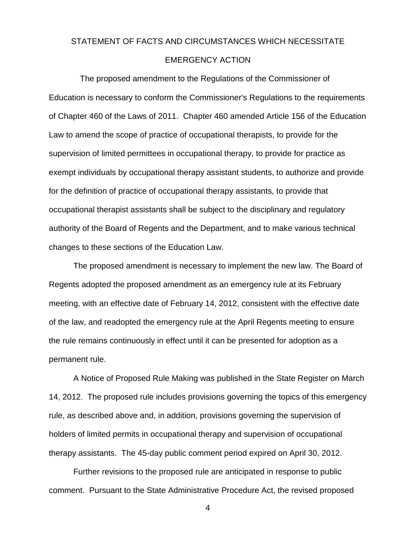# STATEMENT OF FACTS AND CIRCUMSTANCES WHICH NECESSITATE EMERGENCY ACTION

The proposed amendment to the Regulations of the Commissioner of Education is necessary to conform the Commissioner's Regulations to the requirements of Chapter 460 of the Laws of 2011. Chapter 460 amended Article 156 of the Education Law to amend the scope of practice of occupational therapists, to provide for the supervision of limited permittees in occupational therapy, to provide for practice as exempt individuals by occupational therapy assistant students, to authorize and provide for the definition of practice of occupational therapy assistants, to provide that occupational therapist assistants shall be subject to the disciplinary and regulatory authority of the Board of Regents and the Department, and to make various technical changes to these sections of the Education Law.

The proposed amendment is necessary to implement the new law. The Board of Regents adopted the proposed amendment as an emergency rule at its February meeting, with an effective date of February 14, 2012, consistent with the effective date of the law, and readopted the emergency rule at the April Regents meeting to ensure the rule remains continuously in effect until it can be presented for adoption as a permanent rule.

A Notice of Proposed Rule Making was published in the State Register on March 14, 2012. The proposed rule includes provisions governing the topics of this emergency rule, as described above and, in addition, provisions governing the supervision of holders of limited permits in occupational therapy and supervision of occupational therapy assistants. The 45-day public comment period expired on April 30, 2012.

Further revisions to the proposed rule are anticipated in response to public comment. Pursuant to the State Administrative Procedure Act, the revised proposed

4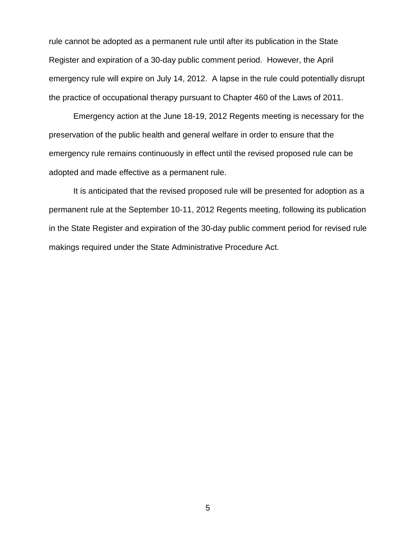rule cannot be adopted as a permanent rule until after its publication in the State Register and expiration of a 30-day public comment period. However, the April emergency rule will expire on July 14, 2012. A lapse in the rule could potentially disrupt the practice of occupational therapy pursuant to Chapter 460 of the Laws of 2011.

Emergency action at the June 18-19, 2012 Regents meeting is necessary for the preservation of the public health and general welfare in order to ensure that the emergency rule remains continuously in effect until the revised proposed rule can be adopted and made effective as a permanent rule.

It is anticipated that the revised proposed rule will be presented for adoption as a permanent rule at the September 10-11, 2012 Regents meeting, following its publication in the State Register and expiration of the 30-day public comment period for revised rule makings required under the State Administrative Procedure Act.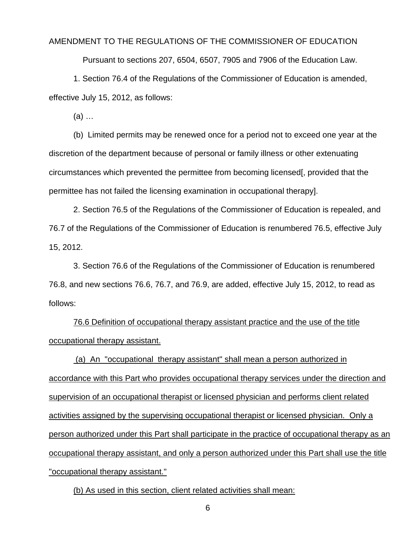#### AMENDMENT TO THE REGULATIONS OF THE COMMISSIONER OF EDUCATION

Pursuant to sections 207, 6504, 6507, 7905 and 7906 of the Education Law.

1. Section 76.4 of the Regulations of the Commissioner of Education is amended, effective July 15, 2012, as follows:

(a) …

(b) Limited permits may be renewed once for a period not to exceed one year at the discretion of the department because of personal or family illness or other extenuating circumstances which prevented the permittee from becoming licensed[, provided that the permittee has not failed the licensing examination in occupational therapy].

2. Section 76.5 of the Regulations of the Commissioner of Education is repealed, and 76.7 of the Regulations of the Commissioner of Education is renumbered 76.5, effective July 15, 2012.

3. Section 76.6 of the Regulations of the Commissioner of Education is renumbered 76.8, and new sections 76.6, 76.7, and 76.9, are added, effective July 15, 2012, to read as follows:

76.6 Definition of occupational therapy assistant practice and the use of the title occupational therapy assistant.

(a) An "occupational therapy assistant" shall mean a person authorized in accordance with this Part who provides occupational therapy services under the direction and supervision of an occupational therapist or licensed physician and performs client related activities assigned by the supervising occupational therapist or licensed physician. Only a person authorized under this Part shall participate in the practice of occupational therapy as an occupational therapy assistant, and only a person authorized under this Part shall use the title "occupational therapy assistant."

(b) As used in this section, client related activities shall mean:

6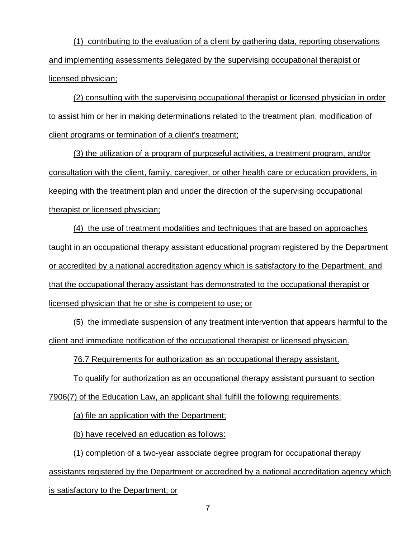(1) contributing to the evaluation of a client by gathering data, reporting observations and implementing assessments delegated by the supervising occupational therapist or licensed physician;

(2) consulting with the supervising occupational therapist or licensed physician in order to assist him or her in making determinations related to the treatment plan, modification of client programs or termination of a client's treatment;

(3) the utilization of a program of purposeful activities, a treatment program, and/or consultation with the client, family, caregiver, or other health care or education providers, in keeping with the treatment plan and under the direction of the supervising occupational therapist or licensed physician;

(4) the use of treatment modalities and techniques that are based on approaches taught in an occupational therapy assistant educational program registered by the Department or accredited by a national accreditation agency which is satisfactory to the Department, and that the occupational therapy assistant has demonstrated to the occupational therapist or licensed physician that he or she is competent to use; or

(5) the immediate suspension of any treatment intervention that appears harmful to the client and immediate notification of the occupational therapist or licensed physician.

76.7 Requirements for authorization as an occupational therapy assistant.

To qualify for authorization as an occupational therapy assistant pursuant to section

7906(7) of the Education Law, an applicant shall fulfill the following requirements:

(a) file an application with the Department;

(b) have received an education as follows:

(1) completion of a two-year associate degree program for occupational therapy

assistants registered by the Department or accredited by a national accreditation agency which is satisfactory to the Department; or